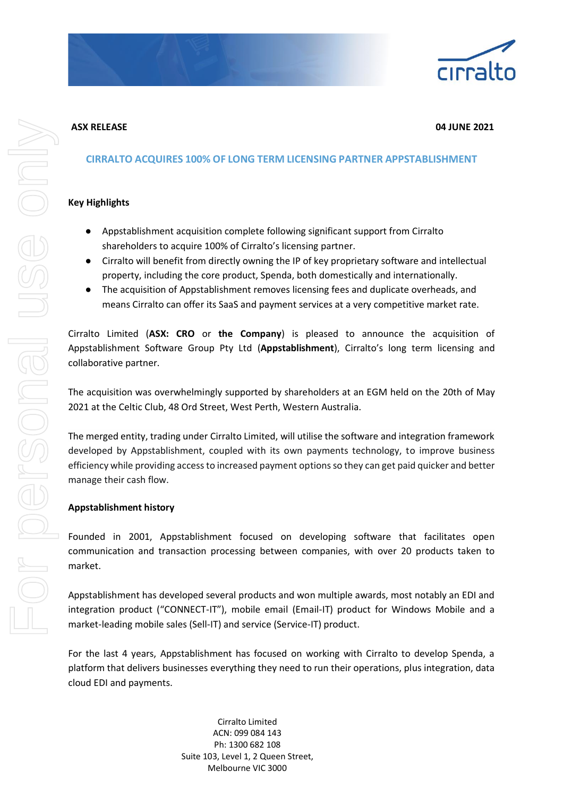

### **ASX RELEASE 04 JUNE 2021**

# **CIRRALTO ACQUIRES 100% OF LONG TERM LICENSING PARTNER APPSTABLISHMENT**

# **Key Highlights**

- Appstablishment acquisition complete following significant support from Cirralto shareholders to acquire 100% of Cirralto's licensing partner.
- Cirralto will benefit from directly owning the IP of key proprietary software and intellectual property, including the core product, Spenda, both domestically and internationally.
- The acquisition of Appstablishment removes licensing fees and duplicate overheads, and means Cirralto can offer its SaaS and payment services at a very competitive market rate.

Cirralto Limited (**ASX: CRO** or **the Company**) is pleased to announce the acquisition of Appstablishment Software Group Pty Ltd (**Appstablishment**), Cirralto's long term licensing and collaborative partner.

The acquisition was overwhelmingly supported by shareholders at an EGM held on the 20th of May 2021 at the Celtic Club, 48 Ord Street, West Perth, Western Australia.

The merged entity, trading under Cirralto Limited, will utilise the software and integration framework developed by Appstablishment, coupled with its own payments technology, to improve business efficiency while providing accessto increased payment options so they can get paid quicker and better manage their cash flow.

### **Appstablishment history**

Founded in 2001, Appstablishment focused on developing software that facilitates open communication and transaction processing between companies, with over 20 products taken to market.

Appstablishment has developed several products and won multiple awards, most notably an EDI and integration product ("CONNECT-IT"), mobile email (Email-IT) product for Windows Mobile and a market-leading mobile sales (Sell-IT) and service (Service-IT) product.

For the last 4 years, Appstablishment has focused on working with Cirralto to develop Spenda, a platform that delivers businesses everything they need to run their operations, plus integration, data cloud EDI and payments.

> Cirralto Limited ACN: 099 084 143 Ph: 1300 682 108 Suite 103, Level 1, 2 Queen Street, Melbourne VIC 3000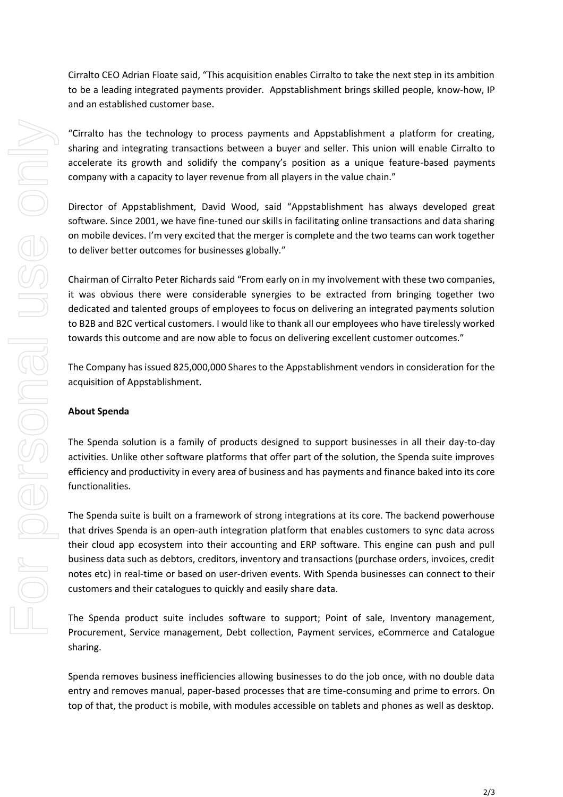Cirralto CEO Adrian Floate said, "This acquisition enables Cirralto to take the next step in its ambition to be a leading integrated payments provider. Appstablishment brings skilled people, know-how, IP and an established customer base.

"Cirralto has the technology to process payments and Appstablishment a platform for creating, sharing and integrating transactions between a buyer and seller. This union will enable Cirralto to accelerate its growth and solidify the company's position as a unique feature-based payments company with a capacity to layer revenue from all players in the value chain."

Director of Appstablishment, David Wood, said "Appstablishment has always developed great software. Since 2001, we have fine-tuned our skills in facilitating online transactions and data sharing on mobile devices. I'm very excited that the merger is complete and the two teams can work together to deliver better outcomes for businesses globally."

Chairman of Cirralto Peter Richards said "From early on in my involvement with these two companies, it was obvious there were considerable synergies to be extracted from bringing together two dedicated and talented groups of employees to focus on delivering an integrated payments solution to B2B and B2C vertical customers. I would like to thank all our employees who have tirelessly worked towards this outcome and are now able to focus on delivering excellent customer outcomes."

The Company has issued 825,000,000 Shares to the Appstablishment vendors in consideration for the acquisition of Appstablishment.

### **About Spenda**

The Spenda solution is a family of products designed to support businesses in all their day-to-day activities. Unlike other software platforms that offer part of the solution, the Spenda suite improves efficiency and productivity in every area of business and has payments and finance baked into its core functionalities.

The Spenda suite is built on a framework of strong integrations at its core. The backend powerhouse that drives Spenda is an open-auth integration platform that enables customers to sync data across their cloud app ecosystem into their accounting and ERP software. This engine can push and pull business data such as debtors, creditors, inventory and transactions (purchase orders, invoices, credit notes etc) in real-time or based on user-driven events. With Spenda businesses can connect to their customers and their catalogues to quickly and easily share data.

The Spenda product suite includes software to support; Point of sale, Inventory management, Procurement, Service management, Debt collection, Payment services, eCommerce and Catalogue sharing.

Spenda removes business inefficiencies allowing businesses to do the job once, with no double data entry and removes manual, paper-based processes that are time-consuming and prime to errors. On top of that, the product is mobile, with modules accessible on tablets and phones as well as desktop.